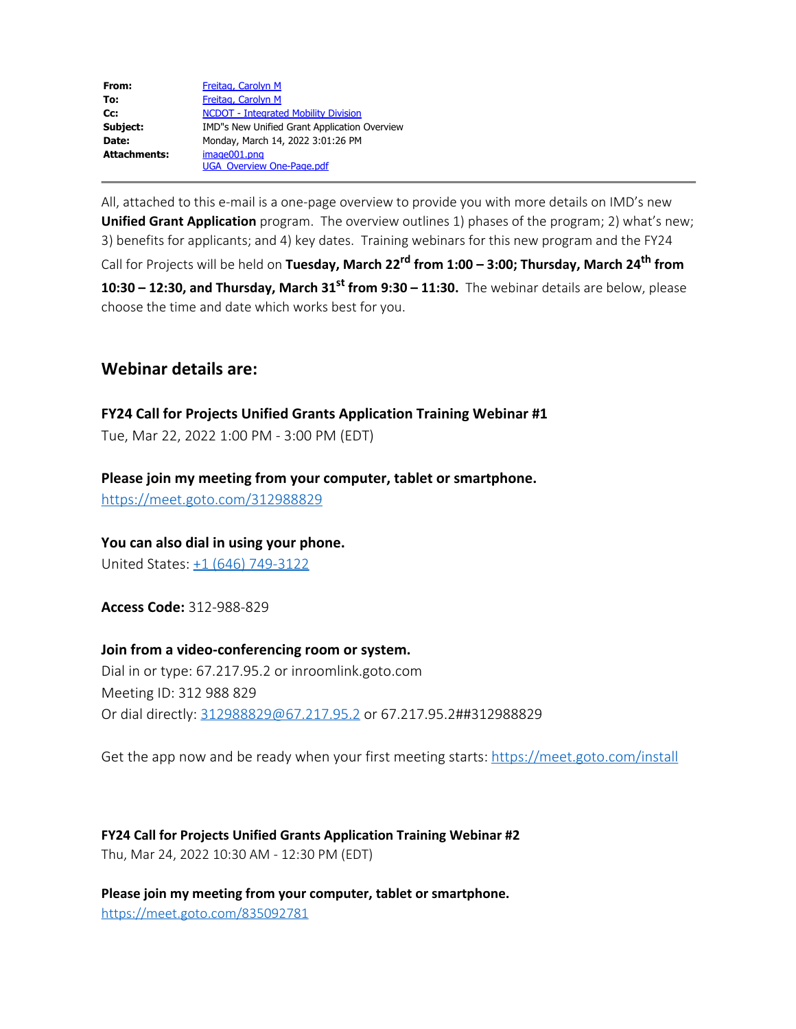| From:               | Freitag, Carolyn M                           |
|---------------------|----------------------------------------------|
| To:                 | Freitag, Carolyn M                           |
| Cc:                 | <b>NCDOT - Integrated Mobility Division</b>  |
| Subject:            | IMD"s New Unified Grant Application Overview |
| Date:               | Monday, March 14, 2022 3:01:26 PM            |
| <b>Attachments:</b> | image001.png                                 |
|                     | <b>UGA Overview One-Page.pdf</b>             |

All, attached to this e-mail is a one-page overview to provide you with more details on IMD's new **Unified Grant Application** program. The overview outlines 1) phases of the program; 2) what's new; 3) benefits for applicants; and 4) key dates. Training webinars for this new program and the FY24 Call for Projects will be held on **Tuesday, March 22rd from 1:00 – 3:00; Thursday, March 24th from 10:30 – 12:30, and Thursday, March 31<sup>st</sup> from 9:30 – 11:30.** The webinar details are below, please choose the time and date which works best for you.

## **Webinar details are:**

**FY24 Call for Projects Unified Grants Application Training Webinar #1** 

Tue, Mar 22, 2022 1:00 PM - 3:00 PM (EDT)

**Please join my meeting from your computer, tablet or smartphone.**  <https://meet.goto.com/312988829>

**You can also dial in using your phone.**

United States: [+1 \(646\) 749-3122](tel:+16467493122,,312988829)

**Access Code:** 312-988-829

**Join from a video-conferencing room or system.** Dial in or type: 67.217.95.2 or inroomlink.goto.com Meeting ID: 312 988 829 Or dial directly: [312988829@67.217.95.2](mailto:312988829@67.217.95.2) or 67.217.95.2##312988829

Get the app now and be ready when your first meeting starts:<https://meet.goto.com/install>

**FY24 Call for Projects Unified Grants Application Training Webinar #2** Thu, Mar 24, 2022 10:30 AM - 12:30 PM (EDT)

**Please join my meeting from your computer, tablet or smartphone.**  [https://meet.goto.com/835092781](https://urldefense.com/v3/__https:/meet.goto.com/835092781__;!!HYmSToo!I7L6Kcn-kEhBXenLE8alKqnW0EBtOn6R7dEaOHAxzRB3vgaEucGTOrqx_z0qeaaRszM$)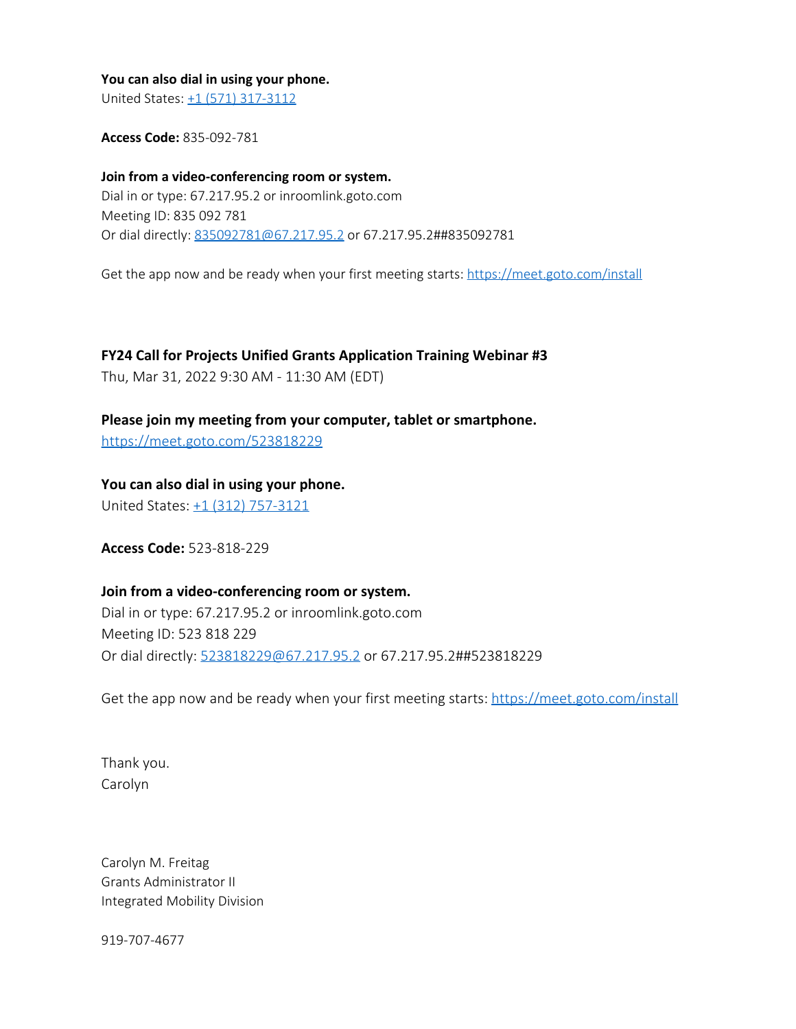## **You can also dial in using your phone.**

United States: [+1 \(571\) 317-3112](tel:+15713173112,,835092781)

**Access Code:** 835-092-781

**Join from a video-conferencing room or system.** Dial in or type: 67.217.95.2 or inroomlink.goto.com Meeting ID: 835 092 781 Or dial directly: [835092781@67.217.95.2](mailto:835092781@67.217.95.2) or 67.217.95.2##835092781

Get the app now and be ready when your first meeting starts: [https://meet.goto.com/install](https://urldefense.com/v3/__https:/meet.goto.com/install__;!!HYmSToo!I7L6Kcn-kEhBXenLE8alKqnW0EBtOn6R7dEaOHAxzRB3vgaEucGTOrqx_z0qqkgkuU8$)

**FY24 Call for Projects Unified Grants Application Training Webinar #3** 

Thu, Mar 31, 2022 9:30 AM - 11:30 AM (EDT)

**Please join my meeting from your computer, tablet or smartphone.** 

<https://meet.goto.com/523818229>

**You can also dial in using your phone.**

United States: [+1 \(312\) 757-3121](tel:+13127573121,,523818229)

**Access Code:** 523-818-229

## **Join from a video-conferencing room or system.**

Dial in or type: 67.217.95.2 or inroomlink.goto.com Meeting ID: 523 818 229 Or dial directly: [523818229@67.217.95.2](mailto:523818229@67.217.95.2) or 67.217.95.2##523818229

Get the app now and be ready when your first meeting starts:<https://meet.goto.com/install>

Thank you. Carolyn

Carolyn M. Freitag Grants Administrator II Integrated Mobility Division

919-707-4677